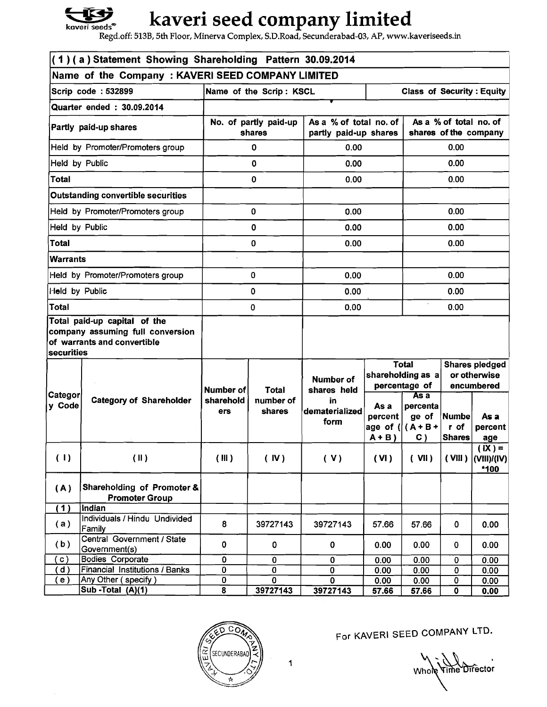

## **kaveri seed company limited**

**Regd.off: 513B, 5th Floor, Minerva Complex, S.D.Road, Secunderabad-03, AP, www.kaveriseeds.in** 

| (1)(a) Statement Showing Shareholding Pattern 30.09.2014   |                                                                                                 |                                 |                         |                                                 |                                                 |                                                    |                                                     |                                             |  |
|------------------------------------------------------------|-------------------------------------------------------------------------------------------------|---------------------------------|-------------------------|-------------------------------------------------|-------------------------------------------------|----------------------------------------------------|-----------------------------------------------------|---------------------------------------------|--|
| Name of the Company: KAVERI SEED COMPANY LIMITED           |                                                                                                 |                                 |                         |                                                 |                                                 |                                                    |                                                     |                                             |  |
|                                                            | Scrip code: 532899                                                                              |                                 | Name of the Scrip: KSCL |                                                 |                                                 |                                                    | <b>Class of Security: Equity</b>                    |                                             |  |
| Quarter ended: 30.09.2014                                  |                                                                                                 |                                 |                         |                                                 |                                                 |                                                    |                                                     |                                             |  |
| Partly paid-up shares                                      |                                                                                                 | No. of partly paid-up<br>shares |                         | As a % of total no. of<br>partly paid-up shares |                                                 | As a % of total no. of<br>shares of the company    |                                                     |                                             |  |
|                                                            | Held by Promoter/Promoters group                                                                |                                 | 0                       | 0.00                                            |                                                 | 0.00                                               |                                                     |                                             |  |
| Held by Public                                             |                                                                                                 |                                 | 0                       | 0.00                                            |                                                 | 0.00                                               |                                                     |                                             |  |
| <b>Total</b>                                               |                                                                                                 |                                 | 0                       | 0.00                                            |                                                 |                                                    | 0.00                                                |                                             |  |
|                                                            | <b>Outstanding convertible securities</b>                                                       |                                 |                         |                                                 |                                                 |                                                    |                                                     |                                             |  |
|                                                            | Held by Promoter/Promoters group                                                                |                                 | $\mathbf 0$             | 0.00                                            |                                                 |                                                    | 0.00                                                |                                             |  |
| Held by Public                                             |                                                                                                 |                                 | 0                       | 0.00                                            |                                                 |                                                    | 0.00                                                |                                             |  |
| Total                                                      |                                                                                                 |                                 | $\mathbf 0$             | 0.00                                            |                                                 |                                                    | 0.00                                                |                                             |  |
| <b>Warrants</b>                                            |                                                                                                 |                                 |                         |                                                 |                                                 |                                                    |                                                     |                                             |  |
|                                                            | Held by Promoter/Promoters group                                                                | 0                               |                         | 0.00                                            |                                                 | 0.00                                               |                                                     |                                             |  |
| Held by Public                                             |                                                                                                 | 0                               |                         | 0.00                                            |                                                 | 0.00                                               |                                                     |                                             |  |
| <b>Total</b>                                               |                                                                                                 | 0                               |                         | 0.00                                            |                                                 | 0.00                                               |                                                     |                                             |  |
| securities                                                 | Total paid-up capital of the<br>company assuming full conversion<br>of warrants and convertible |                                 |                         |                                                 |                                                 |                                                    |                                                     |                                             |  |
|                                                            |                                                                                                 | Number of                       | Total                   | <b>Number of</b><br>shares held                 |                                                 | <b>Total</b><br>shareholding as a<br>percentage of | <b>Shares pledged</b><br>or otherwise<br>encumbered |                                             |  |
| ∣Categor∣<br>y Code                                        | <b>Category of Shareholder</b>                                                                  | sharehold<br>ers                | number of<br>shares     | in.<br>dematerialized<br>form                   | As a<br>percent<br>age of $( (A+B +$<br>$A + B$ | Asa<br>percenta<br>ge of<br>C)                     | Numbe<br>r of<br><b>Shares</b>                      | As a<br>percent<br>age                      |  |
| (1)                                                        | (II)                                                                                            | (III)                           | (IV)                    | (V)                                             | (VI)                                            | $($ VII $)$                                        |                                                     | $(X) =$<br>$(VIII)$ $(VIII)/(IV)$<br>$*100$ |  |
| Shareholding of Promoter &<br>(A)<br><b>Promoter Group</b> |                                                                                                 |                                 |                         |                                                 |                                                 |                                                    |                                                     |                                             |  |
| (1)                                                        | Indian                                                                                          |                                 |                         |                                                 |                                                 |                                                    |                                                     |                                             |  |
| (a)                                                        | Individuals / Hindu Undivided<br>Family                                                         | 8                               | 39727143                | 39727143                                        | 57.66                                           | 57.66                                              | 0                                                   | 0.00                                        |  |
| (b)                                                        | Central Government / State<br>Government(s)                                                     | $\mathbf 0$                     | 0                       | 0                                               | 0.00                                            | 0.00                                               | 0                                                   | 0.00                                        |  |
| $\mathbf{c}$ )                                             | <b>Bodies Corporate</b>                                                                         | 0                               | $\mathbf 0$             | $\overline{\mathbf{0}}$                         | 0.00                                            | 0.00                                               | 0                                                   | 0.00                                        |  |
| d)                                                         | Financial Institutions / Banks                                                                  | $\pmb{0}$                       | $\bf{0}$                | $\pmb{\mathsf{0}}$                              | 0.00                                            | 0.00                                               | $\overline{\mathbf{0}}$                             | 0.00                                        |  |
| $\left( \begin{array}{c} 1 \  \end{array} \right)$         | Any Other (specify)                                                                             | 0                               | $\mathbf 0$             | $\mathbf 0$                                     | 0.00                                            | 0.00                                               | 0                                                   | 0.00                                        |  |
|                                                            | Sub - Total $(A)(1)$                                                                            | 8                               | 39727143                | 39727143                                        | 57.66                                           | 57.66                                              | $\mathbf{0}$                                        | 0.00                                        |  |



For KAVERI SEED COMPANY LTD.

Who **Pime Director** 

 $\mathbf 1$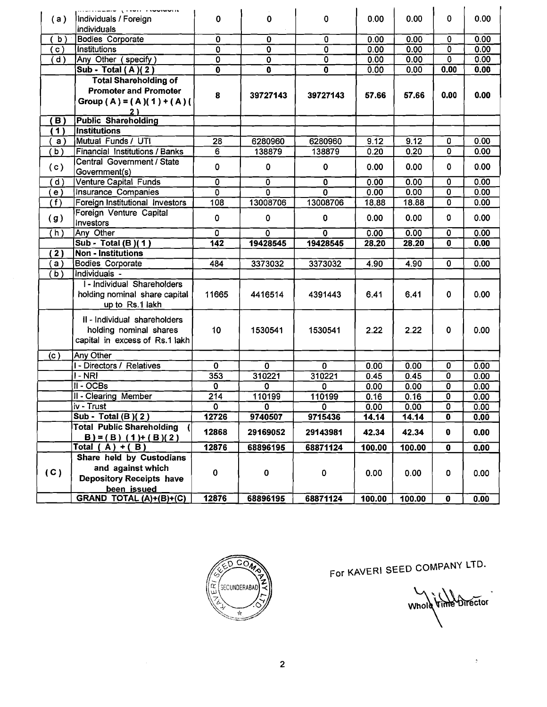| (a)                  | alistical control processes and the control of the control of the control of the control of the control of the<br>Individuals / Foreign<br>individuals | $\bf{0}$                  | 0                         | 0                       | 0.00               | 0.00   | 0                       | 0.00 |
|----------------------|--------------------------------------------------------------------------------------------------------------------------------------------------------|---------------------------|---------------------------|-------------------------|--------------------|--------|-------------------------|------|
| b                    | <b>Bodies</b> Corporate                                                                                                                                | 0                         | 0                         | $\mathbf 0$             | 0.00               | 0.00   | 0                       | 0.00 |
| $\mathsf{c}$ )       | <b>Institutions</b>                                                                                                                                    | $\overline{\mathbf{0}}$   | $\overline{\mathbf{0}}$   | $\overline{\mathbf{0}}$ | 0.00               | 0.00   | $\overline{\mathbf{0}}$ | 0.00 |
| $\bar{\mathsf{d}}$ ) | Any Other $(specify)$                                                                                                                                  | Ō                         | $\overline{\mathfrak{o}}$ | $\overline{0}$          | $0.\overline{0}0$  | 0.00   | 0                       | 0.00 |
|                      | Sub - Total (A)(2)                                                                                                                                     | 0                         | $\bf{0}$                  | 0                       | 0.00               | 0.00   | 0.00                    | 0.00 |
|                      | <b>Total Shareholding of</b>                                                                                                                           |                           |                           |                         |                    |        |                         |      |
|                      | <b>Promoter and Promoter</b><br>Group (A) = (A)(1) + (A)(<br>2)                                                                                        | 8                         | 39727143                  | 39727143                | 57.66              | 57.66  | 0.00                    | 0.00 |
| <b>B</b> )           | <b>Public Shareholding</b>                                                                                                                             |                           |                           |                         |                    |        |                         |      |
| 1)                   | <b>Institutions</b>                                                                                                                                    |                           |                           |                         |                    |        |                         |      |
| a)                   | Mutual Funds / UTI                                                                                                                                     | 28                        | 6280960                   | 6280960                 | 9.12               | 9.12   | 0                       | 0.00 |
| b)                   | Financial Institutions / Banks                                                                                                                         | $\overline{6}$            | 138879                    | 138879                  | 0.20               | 0.20   | $\mathbf 0$             | 0.00 |
| (c)                  | Central Government / State<br>Government(s)                                                                                                            | 0                         | $\mathbf 0$               | 0                       | 0.00               | 0.00   | 0                       | 0.00 |
| (d)                  | Venture Capital Funds                                                                                                                                  | $\overline{\mathfrak{o}}$ | $\mathbf 0$               | $\bf{0}$                | 0.00               | 0.00   | 0                       | 0.00 |
| e) (                 | Insurance Companies                                                                                                                                    | $\overline{\mathfrak{o}}$ | 0                         | 0                       | 0.00               | 0.00   | $\overline{0}$          | 0.00 |
| (f)                  | Foreign Institutional Investors                                                                                                                        | 108                       | 13008706                  | 13008706                | $18.\overline{88}$ | 18.88  | 0                       | 0.00 |
| (g)                  | Foreign Venture Capital<br>Investors                                                                                                                   | $\mathbf 0$               | $\mathbf 0$               | $\mathbf 0$             | 0.00               | 0.00   | 0                       | 0.00 |
| (h)                  | Any Other                                                                                                                                              | $\overline{0}$            | 0                         | $\mathbf 0$             | 0.00               | 0.00   | 0                       | 0.00 |
|                      | Sub - Total (B)(1)                                                                                                                                     | 142                       | 19428545                  | 19428545                | 28.20              | 28.20  | 0                       | 0.00 |
| (2)                  | <b>Non - Institutions</b>                                                                                                                              |                           |                           |                         |                    |        |                         |      |
| a)                   | <b>Bodies Corporate</b>                                                                                                                                | 484                       | 3373032                   | 3373032                 | 4.90               | 4.90   | 0                       | 0.00 |
| (b)                  | Individuals -                                                                                                                                          |                           |                           |                         |                    |        |                         |      |
|                      | I - Individual Shareholders<br>holding nominal share capital<br>up to Rs.1 lakh                                                                        | 11665                     | 4416514                   | 4391443                 | 6.41               | 6.41   | 0                       | 0.00 |
|                      | II - Individual shareholders<br>holding nominal shares<br>capital in excess of Rs.1 lakh                                                               | 10 <sub>1</sub>           | 1530541                   | 1530541                 | 2.22               | 2.22   | 0                       | 0.00 |
| (c)                  | Any Other                                                                                                                                              |                           |                           |                         |                    |        |                         |      |
|                      | <b>I - Directors / Relatives</b>                                                                                                                       | $\mathbf 0$               | 0                         | 0                       | 0.00               | 0.00   | 0                       | 0.00 |
|                      | $I - NRI$                                                                                                                                              | 353                       | 310221                    | 310221                  | 0.45               | 0.45   | 0                       | 0.00 |
|                      | $II - OCBs$                                                                                                                                            | $\overline{0}$            | $\overline{0}$            | 0                       | 0.00               | 0.00   | $\overline{0}$          | 0.00 |
|                      | <b>II - Clearing Member</b>                                                                                                                            | $\overline{214}$          | 110199                    | 110199                  | 0.16               | 0.16   | 0                       | 0.00 |
|                      | iv - Trust                                                                                                                                             | 0                         | 0                         | $\mathbf 0$             | 0.00               | 0.00   | 0                       | 0.00 |
|                      | $\overline{\text{Sub - Total (B)}}$ (2)                                                                                                                | 12726                     | 9740507                   | 9715436                 | 14.14              | 14.14  | $\overline{\mathbf{0}}$ | 0.00 |
|                      | <b>Total Public Shareholding</b><br>$B$ ) = (B) (1)+ (B)(2)                                                                                            | 12868                     | 29169052                  | 29143981                | 42.34              | 42.34  | $\pmb{0}$               | 0.00 |
|                      | Total $(A) + (B)$                                                                                                                                      | 12876                     | 68896195                  | 68871124                | 100.00             | 100.00 | $\pmb{0}$               | 0.00 |
| (C)                  | Share held by Custodians<br>and against which<br><b>Depository Receipts have</b><br>been issued                                                        | $\pmb{0}$                 | 0                         | $\pmb{0}$               | 0.00               | 0.00   | 0                       | 0.00 |
|                      |                                                                                                                                                        |                           |                           |                         |                    |        |                         | 0.00 |
|                      | GRAND TOTAL (A)+(B)+(C)                                                                                                                                | 12876                     | 68896195                  | 68871124                | 100.00             | 100.00 | $\bf{0}$                |      |



For **KAVERI SEED** COMPANY LTD.

Whole Vime Director

 $\frac{1}{2}$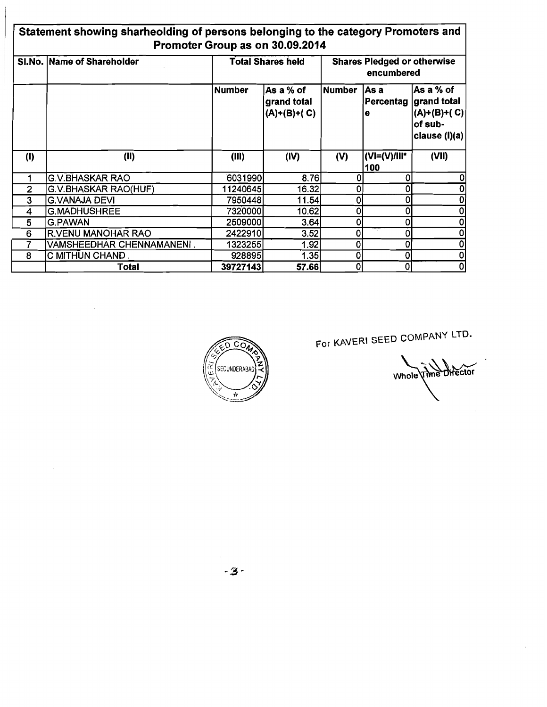| Statement showing sharheolding of persons belonging to the category Promoters and<br>Promoter Group as on 30.09.2014 |                             |                          |                                          |               |                                                  |                                                                        |  |  |
|----------------------------------------------------------------------------------------------------------------------|-----------------------------|--------------------------|------------------------------------------|---------------|--------------------------------------------------|------------------------------------------------------------------------|--|--|
|                                                                                                                      | SI.No. Name of Shareholder  | <b>Total Shares held</b> |                                          |               | <b>Shares Pledged or otherwise</b><br>encumbered |                                                                        |  |  |
|                                                                                                                      |                             | <b>Number</b>            | As a % of<br>grand total<br>(A)+(B)+( C) | <b>Number</b> | lAs a<br>Percentag<br>e                          | As a % of<br>∣grand total<br>$(A)+(B)+(C)$<br>of sub-<br>clause (I)(a) |  |  |
| (1)                                                                                                                  | (II)                        | (III)                    | (IV)                                     | (V)           | $ U  = (V)/  V^*  $<br>100                       | (VII)                                                                  |  |  |
|                                                                                                                      | <b>G.V.BHASKAR RAO</b>      | 6031990                  | 8.76                                     |               | 0                                                |                                                                        |  |  |
| $\overline{2}$                                                                                                       | <b>G.V.BHASKAR RAO(HUF)</b> | 11240645                 | 16.32                                    | ŋ             | O                                                |                                                                        |  |  |
| 3                                                                                                                    | <b>G.VANAJA DEVI</b>        | 7950448                  | 11.54                                    | 0             |                                                  |                                                                        |  |  |
| 4                                                                                                                    | <b>G.MADHUSHREE</b>         | 7320000                  | 10.62                                    | U             |                                                  |                                                                        |  |  |
| 5                                                                                                                    | <b>G.PAWAN</b>              | 2509000                  | 3.64                                     | ٥             | 0                                                |                                                                        |  |  |
| 6                                                                                                                    | <b>R.VENU MANOHAR RAO</b>   | 2422910                  | 3.52                                     | 0             | 0                                                |                                                                        |  |  |
|                                                                                                                      | VAMSHEEDHAR CHENNAMANENI.   | 1323255                  | 1.92                                     | 0             | O                                                |                                                                        |  |  |
| 8                                                                                                                    | C MITHUN CHAND.             | 928895                   | 1.35                                     | 0             | 0                                                |                                                                        |  |  |
|                                                                                                                      | Total                       | 39727143                 | 57.66L                                   | U             |                                                  |                                                                        |  |  |



 $\label{eq:2.1} \frac{1}{\sqrt{2\pi}}\int_{0}^{\infty}\frac{1}{\sqrt{2\pi}}\left(\frac{1}{\sqrt{2\pi}}\right)^{2\alpha} \frac{d\alpha}{\alpha} \,d\beta.$ 

For **KAVERI** SEED COMPANY LTD.

Whole Time Director

 $\bar{z}$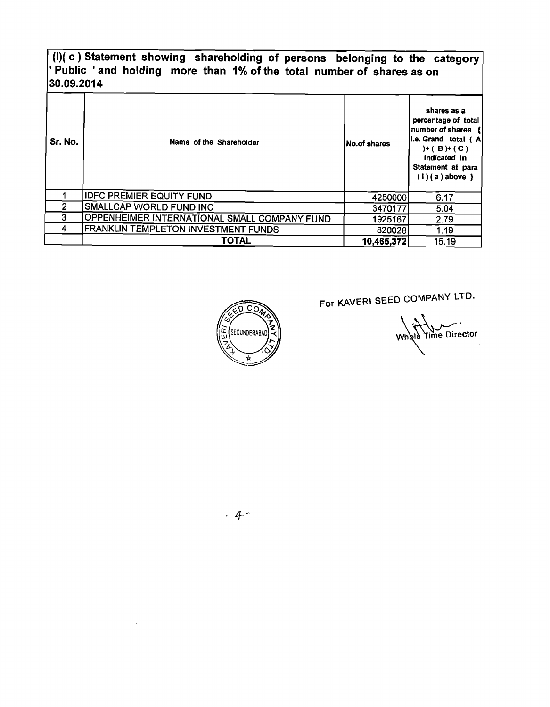## **(I)( c** ) **Statement showing shareholding of persons belonging to the category**  ' **Public** ' **and holding more than 1% of the total number of shares as on 30.09.2014**

| Sr. No. | Name of the Shareholder                      | INo.of shares | shares as a<br>percentage of total<br>number of shares {<br>I.e. Grand total ( A<br>$H(B) + (C)$<br>Indicated in<br>Statement at para<br>$(1)(a)$ above $\}$ |
|---------|----------------------------------------------|---------------|--------------------------------------------------------------------------------------------------------------------------------------------------------------|
|         | <b>IDFC PREMIER EQUITY FUND</b>              | 4250000       | 6.17                                                                                                                                                         |
| 2       | SMALLCAP WORLD FUND INC                      | 3470177       | 5.04                                                                                                                                                         |
| 3       | OPPENHEIMER INTERNATIONAL SMALL COMPANY FUND | 1925167       | 2.79                                                                                                                                                         |
| 4       | FRANKLIN TEMPLETON INVESTMENT FUNDS          | 820028        | 1.19                                                                                                                                                         |
|         | <b>TOTAL</b>                                 | 10,465,372    | 15.19                                                                                                                                                        |



For KAVERI SEED COMPANY LTD.

Whole Time Director

 $-4-$ 

 $\mathcal{L}_{\mathrm{c}}$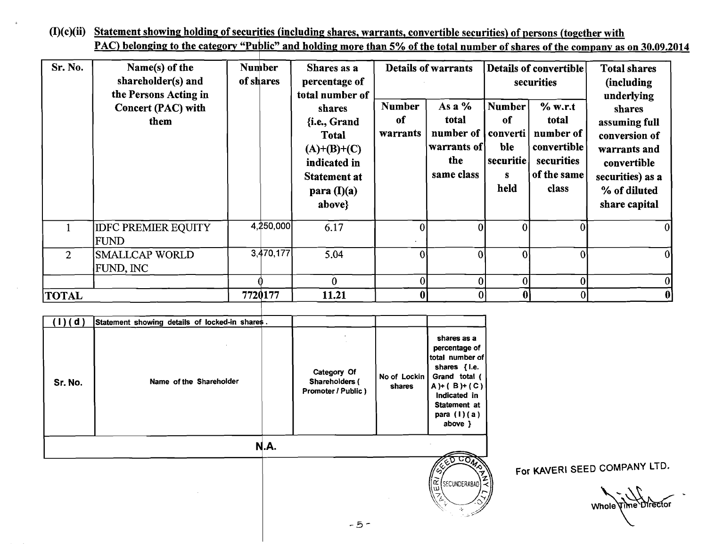(I)(c)(ii) Statement showing holding of securities (including shares, warrants, convertible securities) of persons (together with PAC) belonging to the category "Public" and holding more than 5% of the total number of shares of the company as on 30.09.2014

| Sr. No.        | Name(s) of the<br>shareholder(s) and<br>the Persons Acting in<br><b>Concert (PAC) with</b><br>them | <b>Number</b><br>of shares |           | Shares as a<br>percentage of<br>total number of<br>shares<br>{i.e., Grand<br><b>Total</b><br>$(A)+(B)+(C)$<br>indicated in<br><b>Statement at</b><br>para $(I)(a)$<br>above} | <b>Number</b><br>of<br>warrants | <b>Details of warrants</b><br>As a %<br>total<br>number of<br>warrants of<br>the<br>same class | Number<br>of<br>ble<br>securitie<br>$\mathbf{s}$<br>held | Details of convertible<br>securities<br>$%$ w.r.t<br>total<br>converti   number of<br>convertible<br>securities<br>of the same<br>class | <b>Total shares</b><br>(including<br>underlying<br>shares<br>assuming full<br>conversion of<br>warrants and<br>convertible<br>securities) as a<br>% of diluted<br>share capital |
|----------------|----------------------------------------------------------------------------------------------------|----------------------------|-----------|------------------------------------------------------------------------------------------------------------------------------------------------------------------------------|---------------------------------|------------------------------------------------------------------------------------------------|----------------------------------------------------------|-----------------------------------------------------------------------------------------------------------------------------------------|---------------------------------------------------------------------------------------------------------------------------------------------------------------------------------|
|                | <b>IDFC PREMIER EQUITY</b><br><b>FUND</b>                                                          |                            | 4,250,000 | 6.17                                                                                                                                                                         |                                 | ΩI                                                                                             | $\overline{0}$                                           |                                                                                                                                         |                                                                                                                                                                                 |
| $\overline{2}$ | <b>SMALLCAP WORLD</b><br>FUND, INC                                                                 |                            | 3,470,177 | 5.04                                                                                                                                                                         |                                 |                                                                                                | $\Omega$                                                 |                                                                                                                                         |                                                                                                                                                                                 |
|                |                                                                                                    |                            |           | $\mathbf{0}$                                                                                                                                                                 | 0                               |                                                                                                | 0l                                                       | 0                                                                                                                                       |                                                                                                                                                                                 |
| <b>TOTAL</b>   |                                                                                                    | 7720177                    |           | 11.21                                                                                                                                                                        |                                 |                                                                                                |                                                          | 0                                                                                                                                       |                                                                                                                                                                                 |

| (d)<br>Sr. No. | Statement showing details of locked-in shares.<br>Name of the Shareholder | Category Of<br>Shareholders (<br>Promoter / Public) | No of Lockin<br>shares | shares as a<br>percentage of<br>total number of<br>shares { i.e.<br>Grand total (<br>$A)+(B)+(C)$<br>Indicated in<br>Statement at<br>para $(1)(a)$<br>above } |
|----------------|---------------------------------------------------------------------------|-----------------------------------------------------|------------------------|---------------------------------------------------------------------------------------------------------------------------------------------------------------|
|                | N.A.                                                                      |                                                     |                        |                                                                                                                                                               |

For KAVERI SEED COMPANY LTD.

Whole Time Director

ᢑ᠊ᡄᡋ᠗

SECUNDERABAD

īκ